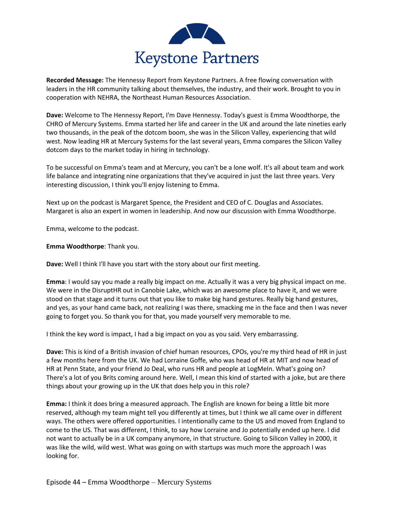

**Recorded Message:** The Hennessy Report from Keystone Partners. A free flowing conversation with leaders in the HR community talking about themselves, the industry, and their work. Brought to you in cooperation with NEHRA, the Northeast Human Resources Association.

**Dave:** Welcome to The Hennessy Report, I'm Dave Hennessy. Today's guest is Emma Woodthorpe, the CHRO of Mercury Systems. Emma started her life and career in the UK and around the late nineties early two thousands, in the peak of the dotcom boom, she was in the Silicon Valley, experiencing that wild west. Now leading HR at Mercury Systems for the last several years, Emma compares the Silicon Valley dotcom days to the market today in hiring in technology.

To be successful on Emma's team and at Mercury, you can't be a lone wolf. It's all about team and work life balance and integrating nine organizations that they've acquired in just the last three years. Very interesting discussion, I think you'll enjoy listening to Emma.

Next up on the podcast is Margaret Spence, the President and CEO of C. Douglas and Associates. Margaret is also an expert in women in leadership. And now our discussion with Emma Woodthorpe.

Emma, welcome to the podcast.

**Emma Woodthorpe**: Thank you.

**Dave:** Well I think I'll have you start with the story about our first meeting.

**Emma**: I would say you made a really big impact on me. Actually it was a very big physical impact on me. We were in the DisruptHR out in Canobie Lake, which was an awesome place to have it, and we were stood on that stage and it turns out that you like to make big hand gestures. Really big hand gestures, and yes, as your hand came back, not realizing I was there, smacking me in the face and then I was never going to forget you. So thank you for that, you made yourself very memorable to me.

I think the key word is impact, I had a big impact on you as you said. Very embarrassing.

**Dave:** This is kind of a British invasion of chief human resources, CPOs, you're my third head of HR in just a few months here from the UK. We had Lorraine Goffe, who was head of HR at MIT and now head of HR at Penn State, and your friend Jo Deal, who runs HR and people at LogMeIn. What's going on? There's a lot of you Brits coming around here. Well, I mean this kind of started with a joke, but are there things about your growing up in the UK that does help you in this role?

**Emma:** I think it does bring a measured approach. The English are known for being a little bit more reserved, although my team might tell you differently at times, but I think we all came over in different ways. The others were offered opportunities. I intentionally came to the US and moved from England to come to the US. That was different, I think, to say how Lorraine and Jo potentially ended up here. I did not want to actually be in a UK company anymore, in that structure. Going to Silicon Valley in 2000, it was like the wild, wild west. What was going on with startups was much more the approach I was looking for.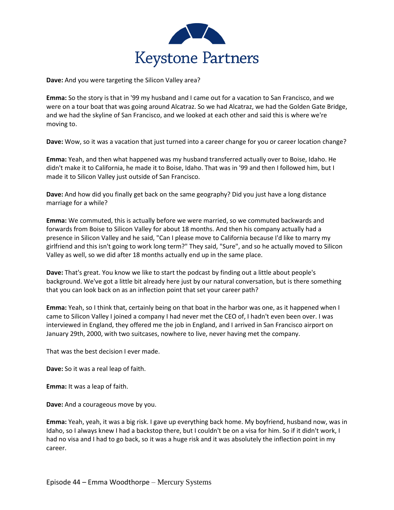

**Dave:** And you were targeting the Silicon Valley area?

**Emma:** So the story is that in '99 my husband and I came out for a vacation to San Francisco, and we were on a tour boat that was going around Alcatraz. So we had Alcatraz, we had the Golden Gate Bridge, and we had the skyline of San Francisco, and we looked at each other and said this is where we're moving to.

**Dave:** Wow, so it was a vacation that just turned into a career change for you or career location change?

**Emma:** Yeah, and then what happened was my husband transferred actually over to Boise, Idaho. He didn't make it to California, he made it to Boise, Idaho. That was in '99 and then I followed him, but I made it to Silicon Valley just outside of San Francisco.

**Dave:** And how did you finally get back on the same geography? Did you just have a long distance marriage for a while?

**Emma:** We commuted, this is actually before we were married, so we commuted backwards and forwards from Boise to Silicon Valley for about 18 months. And then his company actually had a presence in Silicon Valley and he said, "Can I please move to California because I'd like to marry my girlfriend and this isn't going to work long term?" They said, "Sure", and so he actually moved to Silicon Valley as well, so we did after 18 months actually end up in the same place.

**Dave:** That's great. You know we like to start the podcast by finding out a little about people's background. We've got a little bit already here just by our natural conversation, but is there something that you can look back on as an inflection point that set your career path?

**Emma:** Yeah, so I think that, certainly being on that boat in the harbor was one, as it happened when I came to Silicon Valley I joined a company I had never met the CEO of, I hadn't even been over. I was interviewed in England, they offered me the job in England, and I arrived in San Francisco airport on January 29th, 2000, with two suitcases, nowhere to live, never having met the company.

That was the best decision I ever made.

**Dave:** So it was a real leap of faith.

**Emma:** It was a leap of faith.

**Dave:** And a courageous move by you.

**Emma:** Yeah, yeah, it was a big risk. I gave up everything back home. My boyfriend, husband now, was in Idaho, so I always knew I had a backstop there, but I couldn't be on a visa for him. So if it didn't work, I had no visa and I had to go back, so it was a huge risk and it was absolutely the inflection point in my career.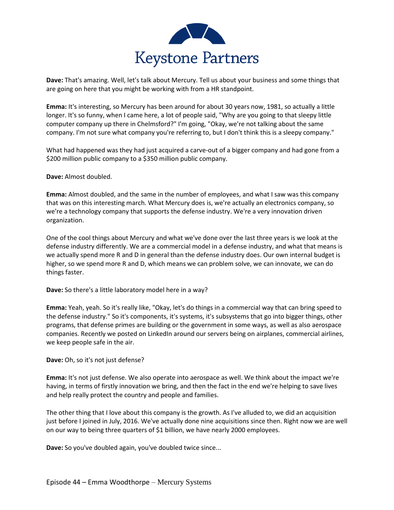

**Dave:** That's amazing. Well, let's talk about Mercury. Tell us about your business and some things that are going on here that you might be working with from a HR standpoint.

**Emma:** It's interesting, so Mercury has been around for about 30 years now, 1981, so actually a little longer. It's so funny, when I came here, a lot of people said, "Why are you going to that sleepy little computer company up there in Chelmsford?" I'm going, "Okay, we're not talking about the same company. I'm not sure what company you're referring to, but I don't think this is a sleepy company."

What had happened was they had just acquired a carve-out of a bigger company and had gone from a \$200 million public company to a \$350 million public company.

**Dave:** Almost doubled.

**Emma:** Almost doubled, and the same in the number of employees, and what I saw was this company that was on this interesting march. What Mercury does is, we're actually an electronics company, so we're a technology company that supports the defense industry. We're a very innovation driven organization.

One of the cool things about Mercury and what we've done over the last three years is we look at the defense industry differently. We are a commercial model in a defense industry, and what that means is we actually spend more R and D in general than the defense industry does. Our own internal budget is higher, so we spend more R and D, which means we can problem solve, we can innovate, we can do things faster.

**Dave:** So there's a little laboratory model here in a way?

**Emma:** Yeah, yeah. So it's really like, "Okay, let's do things in a commercial way that can bring speed to the defense industry." So it's components, it's systems, it's subsystems that go into bigger things, other programs, that defense primes are building or the government in some ways, as well as also aerospace companies. Recently we posted on LinkedIn around our servers being on airplanes, commercial airlines, we keep people safe in the air.

**Dave:** Oh, so it's not just defense?

**Emma:** It's not just defense. We also operate into aerospace as well. We think about the impact we're having, in terms of firstly innovation we bring, and then the fact in the end we're helping to save lives and help really protect the country and people and families.

The other thing that I love about this company is the growth. As I've alluded to, we did an acquisition just before I joined in July, 2016. We've actually done nine acquisitions since then. Right now we are well on our way to being three quarters of \$1 billion, we have nearly 2000 employees.

**Dave:** So you've doubled again, you've doubled twice since...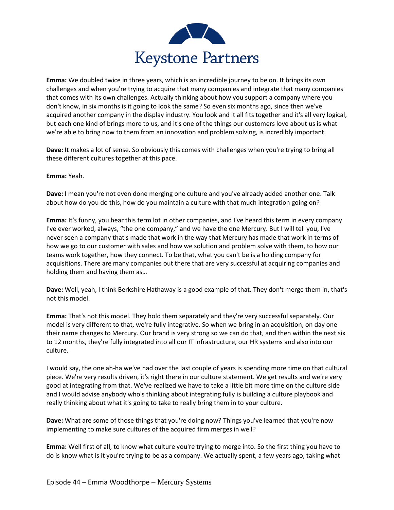

**Emma:** We doubled twice in three years, which is an incredible journey to be on. It brings its own challenges and when you're trying to acquire that many companies and integrate that many companies that comes with its own challenges. Actually thinking about how you support a company where you don't know, in six months is it going to look the same? So even six months ago, since then we've acquired another company in the display industry. You look and it all fits together and it's all very logical, but each one kind of brings more to us, and it's one of the things our customers love about us is what we're able to bring now to them from an innovation and problem solving, is incredibly important.

**Dave:** It makes a lot of sense. So obviously this comes with challenges when you're trying to bring all these different cultures together at this pace.

**Emma:** Yeah.

**Dave:** I mean you're not even done merging one culture and you've already added another one. Talk about how do you do this, how do you maintain a culture with that much integration going on?

**Emma:** It's funny, you hear this term lot in other companies, and I've heard this term in every company I've ever worked, always, "the one company," and we have the one Mercury. But I will tell you, I've never seen a company that's made that work in the way that Mercury has made that work in terms of how we go to our customer with sales and how we solution and problem solve with them, to how our teams work together, how they connect. To be that, what you can't be is a holding company for acquisitions. There are many companies out there that are very successful at acquiring companies and holding them and having them as…

**Dave:** Well, yeah, I think Berkshire Hathaway is a good example of that. They don't merge them in, that's not this model.

**Emma:** That's not this model. They hold them separately and they're very successful separately. Our model is very different to that, we're fully integrative. So when we bring in an acquisition, on day one their name changes to Mercury. Our brand is very strong so we can do that, and then within the next six to 12 months, they're fully integrated into all our IT infrastructure, our HR systems and also into our culture.

I would say, the one ah-ha we've had over the last couple of years is spending more time on that cultural piece. We're very results driven, it's right there in our culture statement. We get results and we're very good at integrating from that. We've realized we have to take a little bit more time on the culture side and I would advise anybody who's thinking about integrating fully is building a culture playbook and really thinking about what it's going to take to really bring them in to your culture.

**Dave:** What are some of those things that you're doing now? Things you've learned that you're now implementing to make sure cultures of the acquired firm merges in well?

**Emma:** Well first of all, to know what culture you're trying to merge into. So the first thing you have to do is know what is it you're trying to be as a company. We actually spent, a few years ago, taking what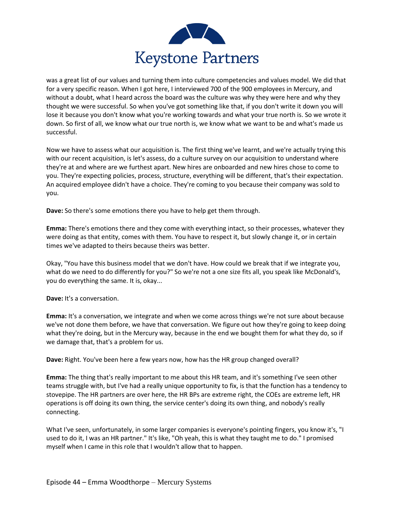

was a great list of our values and turning them into culture competencies and values model. We did that for a very specific reason. When I got here, I interviewed 700 of the 900 employees in Mercury, and without a doubt, what I heard across the board was the culture was why they were here and why they thought we were successful. So when you've got something like that, if you don't write it down you will lose it because you don't know what you're working towards and what your true north is. So we wrote it down. So first of all, we know what our true north is, we know what we want to be and what's made us successful.

Now we have to assess what our acquisition is. The first thing we've learnt, and we're actually trying this with our recent acquisition, is let's assess, do a culture survey on our acquisition to understand where they're at and where are we furthest apart. New hires are onboarded and new hires chose to come to you. They're expecting policies, process, structure, everything will be different, that's their expectation. An acquired employee didn't have a choice. They're coming to you because their company was sold to you.

**Dave:** So there's some emotions there you have to help get them through.

**Emma:** There's emotions there and they come with everything intact, so their processes, whatever they were doing as that entity, comes with them. You have to respect it, but slowly change it, or in certain times we've adapted to theirs because theirs was better.

Okay, "You have this business model that we don't have. How could we break that if we integrate you, what do we need to do differently for you?" So we're not a one size fits all, you speak like McDonald's, you do everything the same. It is, okay...

**Dave:** It's a conversation.

**Emma:** It's a conversation, we integrate and when we come across things we're not sure about because we've not done them before, we have that conversation. We figure out how they're going to keep doing what they're doing, but in the Mercury way, because in the end we bought them for what they do, so if we damage that, that's a problem for us.

**Dave:** Right. You've been here a few years now, how has the HR group changed overall?

**Emma:** The thing that's really important to me about this HR team, and it's something I've seen other teams struggle with, but I've had a really unique opportunity to fix, is that the function has a tendency to stovepipe. The HR partners are over here, the HR BPs are extreme right, the COEs are extreme left, HR operations is off doing its own thing, the service center's doing its own thing, and nobody's really connecting.

What I've seen, unfortunately, in some larger companies is everyone's pointing fingers, you know it's, "I used to do it, I was an HR partner." It's like, "Oh yeah, this is what they taught me to do." I promised myself when I came in this role that I wouldn't allow that to happen.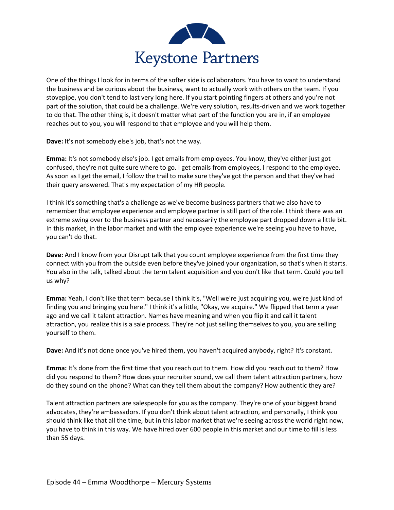

One of the things I look for in terms of the softer side is collaborators. You have to want to understand the business and be curious about the business, want to actually work with others on the team. If you stovepipe, you don't tend to last very long here. If you start pointing fingers at others and you're not part of the solution, that could be a challenge. We're very solution, results-driven and we work together to do that. The other thing is, it doesn't matter what part of the function you are in, if an employee reaches out to you, you will respond to that employee and you will help them.

**Dave:** It's not somebody else's job, that's not the way.

**Emma:** It's not somebody else's job. I get emails from employees. You know, they've either just got confused, they're not quite sure where to go. I get emails from employees, I respond to the employee. As soon as I get the email, I follow the trail to make sure they've got the person and that they've had their query answered. That's my expectation of my HR people.

I think it's something that's a challenge as we've become business partners that we also have to remember that employee experience and employee partner is still part of the role. I think there was an extreme swing over to the business partner and necessarily the employee part dropped down a little bit. In this market, in the labor market and with the employee experience we're seeing you have to have, you can't do that.

**Dave:** And I know from your Disrupt talk that you count employee experience from the first time they connect with you from the outside even before they've joined your organization, so that's when it starts. You also in the talk, talked about the term talent acquisition and you don't like that term. Could you tell us why?

**Emma:** Yeah, I don't like that term because I think it's, "Well we're just acquiring you, we're just kind of finding you and bringing you here." I think it's a little, "Okay, we acquire." We flipped that term a year ago and we call it talent attraction. Names have meaning and when you flip it and call it talent attraction, you realize this is a sale process. They're not just selling themselves to you, you are selling yourself to them.

**Dave:** And it's not done once you've hired them, you haven't acquired anybody, right? It's constant.

**Emma:** It's done from the first time that you reach out to them. How did you reach out to them? How did you respond to them? How does your recruiter sound, we call them talent attraction partners, how do they sound on the phone? What can they tell them about the company? How authentic they are?

Talent attraction partners are salespeople for you as the company. They're one of your biggest brand advocates, they're ambassadors. If you don't think about talent attraction, and personally, I think you should think like that all the time, but in this labor market that we're seeing across the world right now, you have to think in this way. We have hired over 600 people in this market and our time to fill is less than 55 days.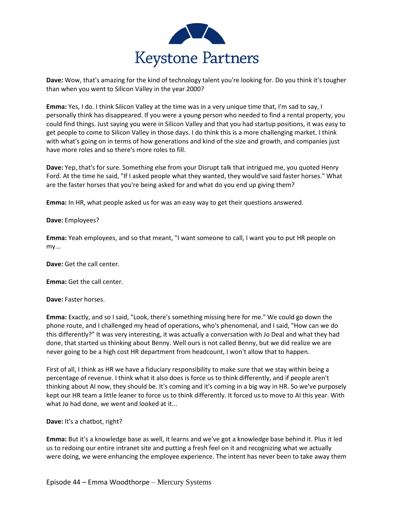

**Dave:** Wow, that's amazing for the kind of technology talent you're looking for. Do you think it's tougher than when you went to Silicon Valley in the year 2000?

**Emma:** Yes, I do. I think Silicon Valley at the time was in a very unique time that, I'm sad to say, I personally think has disappeared. If you were a young person who needed to find a rental property, you could find things. Just saying you were in Silicon Valley and that you had startup positions, it was easy to get people to come to Silicon Valley in those days. I do think this is a more challenging market. I think with what's going on in terms of how generations and kind of the size and growth, and companies just have more roles and so there's more roles to fill.

**Dave:** Yep, that's for sure. Something else from your Disrupt talk that intrigued me, you quoted Henry Ford. At the time he said, "If I asked people what they wanted, they would've said faster horses." What are the faster horses that you're being asked for and what do you end up giving them?

**Emma:** In HR, what people asked us for was an easy way to get their questions answered.

## **Dave:** Employees?

**Emma:** Yeah employees, and so that meant, "I want someone to call, I want you to put HR people on my...

**Dave:** Get the call center.

**Emma:** Get the call center.

**Dave:** Faster horses.

**Emma:** Exactly, and so I said, "Look, there's something missing here for me." We could go down the phone route, and I challenged my head of operations, who's phenomenal, and I said, "How can we do this differently?" It was very interesting, it was actually a conversation with Jo Deal and what they had done, that started us thinking about Benny. Well ours is not called Benny, but we did realize we are never going to be a high cost HR department from headcount, I won't allow that to happen.

First of all, I think as HR we have a fiduciary responsibility to make sure that we stay within being a percentage of revenue. I think what it also does is force us to think differently, and if people aren't thinking about AI now, they should be. It's coming and it's coming in a big way in HR. So we've purposely kept our HR team a little leaner to force us to think differently. It forced us to move to AI this year. With what Jo had done, we went and looked at it...

**Dave:** It's a chatbot, right?

**Emma:** But it's a knowledge base as well, it learns and we've got a knowledge base behind it. Plus it led us to redoing our entire intranet site and putting a fresh feel on it and recognizing what we actually were doing, we were enhancing the employee experience. The intent has never been to take away them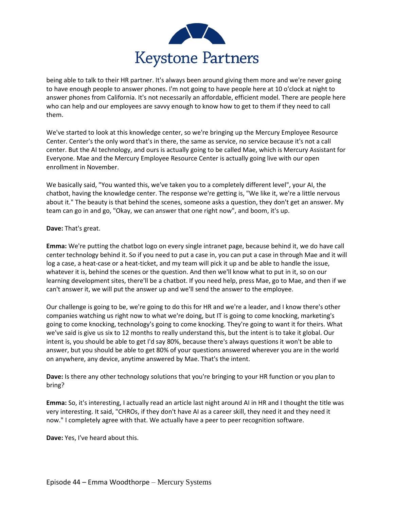

being able to talk to their HR partner. It's always been around giving them more and we're never going to have enough people to answer phones. I'm not going to have people here at 10 o'clock at night to answer phones from California. It's not necessarily an affordable, efficient model. There are people here who can help and our employees are savvy enough to know how to get to them if they need to call them.

We've started to look at this knowledge center, so we're bringing up the Mercury Employee Resource Center. Center's the only word that's in there, the same as service, no service because it's not a call center. But the AI technology, and ours is actually going to be called Mae, which is Mercury Assistant for Everyone. Mae and the Mercury Employee Resource Center is actually going live with our open enrollment in November.

We basically said, "You wanted this, we've taken you to a completely different level", your AI, the chatbot, having the knowledge center. The response we're getting is, "We like it, we're a little nervous about it." The beauty is that behind the scenes, someone asks a question, they don't get an answer. My team can go in and go, "Okay, we can answer that one right now", and boom, it's up.

## **Dave:** That's great.

**Emma:** We're putting the chatbot logo on every single intranet page, because behind it, we do have call center technology behind it. So if you need to put a case in, you can put a case in through Mae and it will log a case, a heat-case or a heat-ticket, and my team will pick it up and be able to handle the issue, whatever it is, behind the scenes or the question. And then we'll know what to put in it, so on our learning development sites, there'll be a chatbot. If you need help, press Mae, go to Mae, and then if we can't answer it, we will put the answer up and we'll send the answer to the employee.

Our challenge is going to be, we're going to do this for HR and we're a leader, and I know there's other companies watching us right now to what we're doing, but IT is going to come knocking, marketing's going to come knocking, technology's going to come knocking. They're going to want it for theirs. What we've said is give us six to 12 months to really understand this, but the intent is to take it global. Our intent is, you should be able to get I'd say 80%, because there's always questions it won't be able to answer, but you should be able to get 80% of your questions answered wherever you are in the world on anywhere, any device, anytime answered by Mae. That's the intent.

**Dave:** Is there any other technology solutions that you're bringing to your HR function or you plan to bring?

**Emma:** So, it's interesting, I actually read an article last night around AI in HR and I thought the title was very interesting. It said, "CHROs, if they don't have AI as a career skill, they need it and they need it now." I completely agree with that. We actually have a peer to peer recognition software.

**Dave:** Yes, I've heard about this.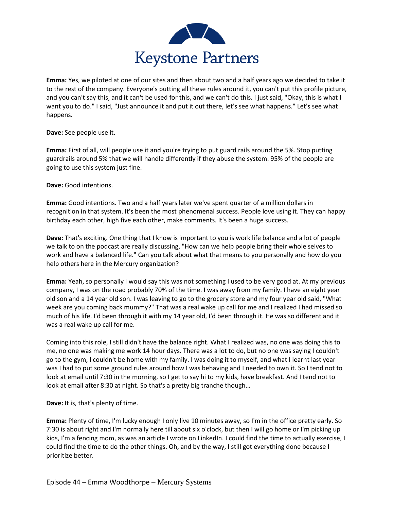

**Emma:** Yes, we piloted at one of our sites and then about two and a half years ago we decided to take it to the rest of the company. Everyone's putting all these rules around it, you can't put this profile picture, and you can't say this, and it can't be used for this, and we can't do this. I just said, "Okay, this is what I want you to do." I said, "Just announce it and put it out there, let's see what happens." Let's see what happens.

**Dave:** See people use it.

**Emma:** First of all, will people use it and you're trying to put guard rails around the 5%. Stop putting guardrails around 5% that we will handle differently if they abuse the system. 95% of the people are going to use this system just fine.

**Dave:** Good intentions.

**Emma:** Good intentions. Two and a half years later we've spent quarter of a million dollars in recognition in that system. It's been the most phenomenal success. People love using it. They can happy birthday each other, high five each other, make comments. It's been a huge success.

**Dave:** That's exciting. One thing that I know is important to you is work life balance and a lot of people we talk to on the podcast are really discussing, "How can we help people bring their whole selves to work and have a balanced life." Can you talk about what that means to you personally and how do you help others here in the Mercury organization?

**Emma:** Yeah, so personally I would say this was not something I used to be very good at. At my previous company, I was on the road probably 70% of the time. I was away from my family. I have an eight year old son and a 14 year old son. I was leaving to go to the grocery store and my four year old said, "What week are you coming back mummy?" That was a real wake up call for me and I realized I had missed so much of his life. I'd been through it with my 14 year old, I'd been through it. He was so different and it was a real wake up call for me.

Coming into this role, I still didn't have the balance right. What I realized was, no one was doing this to me, no one was making me work 14 hour days. There was a lot to do, but no one was saying I couldn't go to the gym, I couldn't be home with my family. I was doing it to myself, and what I learnt last year was I had to put some ground rules around how I was behaving and I needed to own it. So I tend not to look at email until 7:30 in the morning, so I get to say hi to my kids, have breakfast. And I tend not to look at email after 8:30 at night. So that's a pretty big tranche though…

**Dave:** It is, that's plenty of time.

**Emma:** Plenty of time, I'm lucky enough I only live 10 minutes away, so I'm in the office pretty early. So 7:30 is about right and I'm normally here till about six o'clock, but then I will go home or I'm picking up kids, I'm a fencing mom, as was an article I wrote on LinkedIn. I could find the time to actually exercise, I could find the time to do the other things. Oh, and by the way, I still got everything done because I prioritize better.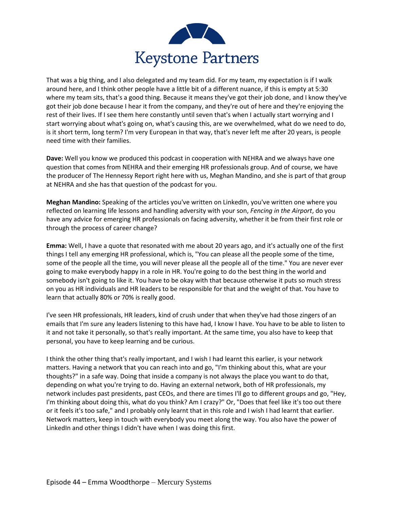

That was a big thing, and I also delegated and my team did. For my team, my expectation is if I walk around here, and I think other people have a little bit of a different nuance, if this is empty at 5:30 where my team sits, that's a good thing. Because it means they've got their job done, and I know they've got their job done because I hear it from the company, and they're out of here and they're enjoying the rest of their lives. If I see them here constantly until seven that's when I actually start worrying and I start worrying about what's going on, what's causing this, are we overwhelmed, what do we need to do, is it short term, long term? I'm very European in that way, that's never left me after 20 years, is people need time with their families.

**Dave:** Well you know we produced this podcast in cooperation with NEHRA and we always have one question that comes from NEHRA and their emerging HR professionals group. And of course, we have the producer of The Hennessy Report right here with us, Meghan Mandino, and she is part of that group at NEHRA and she has that question of the podcast for you.

**Meghan Mandino:** Speaking of the articles you've written on LinkedIn, you've written one where you reflected on learning life lessons and handling adversity with your son, *Fencing in the Airport*, do you have any advice for emerging HR professionals on facing adversity, whether it be from their first role or through the process of career change?

**Emma:** Well, I have a quote that resonated with me about 20 years ago, and it's actually one of the first things I tell any emerging HR professional, which is, "You can please all the people some of the time, some of the people all the time, you will never please all the people all of the time." You are never ever going to make everybody happy in a role in HR. You're going to do the best thing in the world and somebody isn't going to like it. You have to be okay with that because otherwise it puts so much stress on you as HR individuals and HR leaders to be responsible for that and the weight of that. You have to learn that actually 80% or 70% is really good.

I've seen HR professionals, HR leaders, kind of crush under that when they've had those zingers of an emails that I'm sure any leaders listening to this have had, I know I have. You have to be able to listen to it and not take it personally, so that's really important. At the same time, you also have to keep that personal, you have to keep learning and be curious.

I think the other thing that's really important, and I wish I had learnt this earlier, is your network matters. Having a network that you can reach into and go, "I'm thinking about this, what are your thoughts?" in a safe way. Doing that inside a company is not always the place you want to do that, depending on what you're trying to do. Having an external network, both of HR professionals, my network includes past presidents, past CEOs, and there are times I'll go to different groups and go, "Hey, I'm thinking about doing this, what do you think? Am I crazy?" Or, "Does that feel like it's too out there or it feels it's too safe," and I probably only learnt that in this role and I wish I had learnt that earlier. Network matters, keep in touch with everybody you meet along the way. You also have the power of LinkedIn and other things I didn't have when I was doing this first.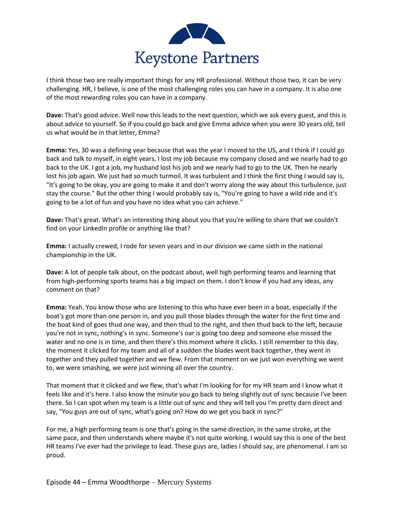

I think those two are really important things for any HR professional. Without those two, it can be very challenging. HR, I believe, is one of the most challenging roles you can have in a company. It is also one of the most rewarding roles you can have in a company.

**Dave:** That's good advice. Well now this leads to the next question, which we ask every guest, and this is about advice to yourself. So if you could go back and give Emma advice when you were 30 years old, tell us what would be in that letter, Emma?

**Emma:** Yes, 30 was a defining year because that was the year I moved to the US, and I think if I could go back and talk to myself, in eight years, I lost my job because my company closed and we nearly had to go back to the UK. I got a job, my husband lost his job and we nearly had to go to the UK. Then he nearly lost his job again. We just had so much turmoil. It was turbulent and I think the first thing I would say is, "It's going to be okay, you are going to make it and don't worry along the way about this turbulence, just stay the course." But the other thing I would probably say is, "You're going to have a wild ride and it's going to be a lot of fun and you have no idea what you can achieve."

**Dave:** That's great. What's an interesting thing about you that you're willing to share that we couldn't find on your LinkedIn profile or anything like that?

**Emma:** I actually crewed, I rode for seven years and in our division we came sixth in the national championship in the UK.

**Dave:** A lot of people talk about, on the podcast about, well high performing teams and learning that from high-performing sports teams has a big impact on them. I don't know if you had any ideas, any comment on that?

**Emma:** Yeah. You know those who are listening to this who have ever been in a boat, especially if the boat's got more than one person in, and you pull those blades through the water for the first time and the boat kind of goes thud one way, and then thud to the right, and then thud back to the left, because you're not in sync, nothing's in sync. Someone's oar is going too deep and someone else missed the water and no one is in time, and then there's this moment where it clicks. I still remember to this day, the moment it clicked for my team and all of a sudden the blades went back together, they went in together and they pulled together and we flew. From that moment on we just won everything we went to, we were smashing, we were just winning all over the country.

That moment that it clicked and we flew, that's what I'm looking for for my HR team and I know what it feels like and it's here. I also know the minute you go back to being slightly out of sync because I've been there. So I can spot when my team is a little out of sync and they will tell you I'm pretty darn direct and say, "You guys are out of sync, what's going on? How do we get you back in sync?"

For me, a high performing team is one that's going in the same direction, in the same stroke, at the same pace, and then understands where maybe it's not quite working. I would say this is one of the best HR teams I've ever had the privilege to lead. These guys are, ladies I should say, are phenomenal. I am so proud.